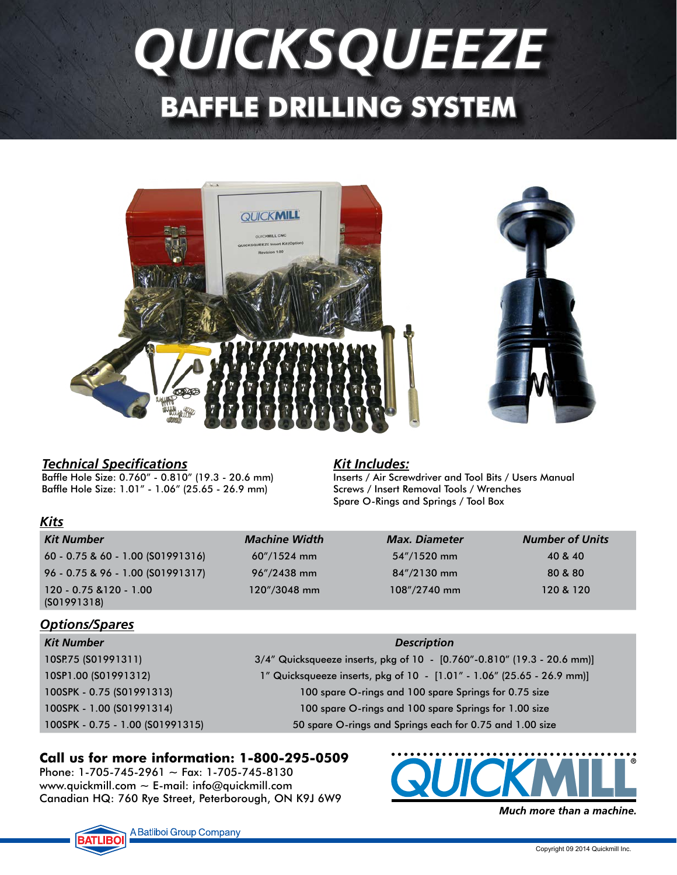# *QUICKSQUEEZE* **BAFFLE DRILLING SYSTEM**



## *Technical Specifications*

Baffle Hole Size: 0.760" - 0.810" (19.3 - 20.6 mm) Baffle Hole Size: 1.01" - 1.06" (25.65 - 26.9 mm)

## *Kit Includes:*

Inserts / Air Screwdriver and Tool Bits / Users Manual Screws / Insert Removal Tools / Wrenches Spare O-Rings and Springs / Tool Box

| .                                      |                                 |                      |                        |  |
|----------------------------------------|---------------------------------|----------------------|------------------------|--|
| Kit Number                             | <b>Machine Width</b>            | <b>Max. Diameter</b> | <b>Number of Units</b> |  |
| $60 - 0.75$ & 60 - 1.00 (S01991316)    | $60''/1524$ mm                  | $54''/1520$ mm       | 40 & 40                |  |
| 96 - 0.75 & 96 - 1.00 (S01991317)      | $96\frac{\textdegree}{2}438$ mm | $84''/2130$ mm       | 80 & 80                |  |
| 120 - 0.75 & 120 - 1.00<br>(S01991318) | $120''/3048$ mm                 | $108''/2740$ mm      | 120 & 120              |  |

## *Options/Spares*

*Kits*

| Kit Number                       | <b>Description</b>                                                      |  |  |
|----------------------------------|-------------------------------------------------------------------------|--|--|
| 10SP.75 (S01991311)              | 3/4" Quicksqueeze inserts, pkg of 10 - [0.760"-0.810" (19.3 - 20.6 mm)] |  |  |
| 10SP1.00 (S01991312)             | 1" Quicksqueeze inserts, pkg of 10 - [1.01" - 1.06" (25.65 - 26.9 mm)]  |  |  |
| 100SPK - 0.75 (S01991313)        | 100 spare O-rings and 100 spare Springs for 0.75 size                   |  |  |
| 100SPK - 1.00 (S01991314)        | 100 spare O-rings and 100 spare Springs for 1.00 size                   |  |  |
| 100SPK - 0.75 - 1.00 (S01991315) | 50 spare O-rings and Springs each for 0.75 and 1.00 size                |  |  |
|                                  |                                                                         |  |  |

## **Call us for more information: 1-800-295-0509**

Phone: 1-705-745-2961  $\sim$  Fax: 1-705-745-8130 www.quickmill.com  $\sim$  E-mail: info@quickmill.com Canadian HQ: 760 Rye Street, Peterborough, ON K9J 6W9



Much more than a machine.